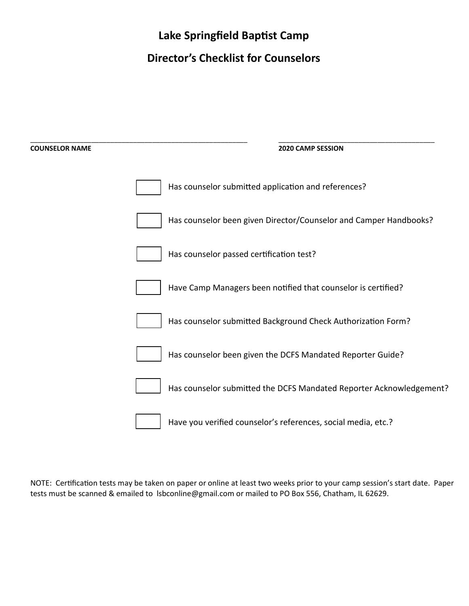# **Lake Springfield Baptist Camp**

# **Director's Checklist for Counselors**

| <b>COUNSELOR NAME</b> | 2020 CAMP SESSION                                                   |
|-----------------------|---------------------------------------------------------------------|
|                       | Has counselor submitted application and references?                 |
|                       | Has counselor been given Director/Counselor and Camper Handbooks?   |
|                       | Has counselor passed certification test?                            |
|                       | Have Camp Managers been notified that counselor is certified?       |
|                       | Has counselor submitted Background Check Authorization Form?        |
|                       | Has counselor been given the DCFS Mandated Reporter Guide?          |
|                       | Has counselor submitted the DCFS Mandated Reporter Acknowledgement? |
|                       | Have you verified counselor's references, social media, etc.?       |

NOTE: Certification tests may be taken on paper or online at least two weeks prior to your camp session's start date. Paper tests must be scanned & emailed to lsbconline@gmail.com or mailed to PO Box 556, Chatham, IL 62629.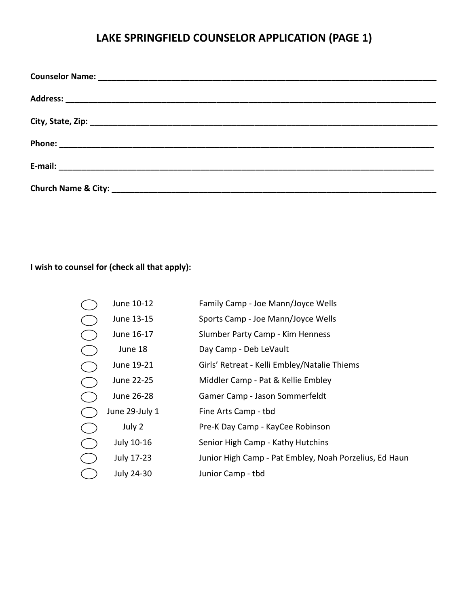# **LAKE SPRINGFIELD COUNSELOR APPLICATION (PAGE 1)**

### **I wish to counsel for (check all that apply):**

| June 10-12     | Family Camp - Joe Mann/Joyce Wells                     |
|----------------|--------------------------------------------------------|
| June 13-15     | Sports Camp - Joe Mann/Joyce Wells                     |
| June 16-17     | Slumber Party Camp - Kim Henness                       |
| June 18        | Day Camp - Deb LeVault                                 |
| June 19-21     | Girls' Retreat - Kelli Embley/Natalie Thiems           |
| June 22-25     | Middler Camp - Pat & Kellie Embley                     |
| June 26-28     | Gamer Camp - Jason Sommerfeldt                         |
| June 29-July 1 | Fine Arts Camp - tbd                                   |
| July 2         | Pre-K Day Camp - KayCee Robinson                       |
| July 10-16     | Senior High Camp - Kathy Hutchins                      |
| July 17-23     | Junior High Camp - Pat Embley, Noah Porzelius, Ed Haun |
| July 24-30     | Junior Camp - tbd                                      |
|                |                                                        |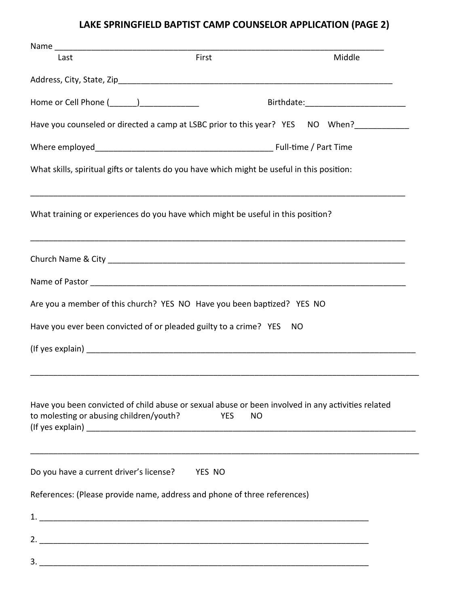# **LAKE SPRINGFIELD BAPTIST CAMP COUNSELOR APPLICATION (PAGE 2)**

| Last                                                                                                                                         | First      |           | Middle |
|----------------------------------------------------------------------------------------------------------------------------------------------|------------|-----------|--------|
|                                                                                                                                              |            |           |        |
| Home or Cell Phone (_______)________________                                                                                                 |            |           |        |
| Have you counseled or directed a camp at LSBC prior to this year? YES NO When?                                                               |            |           |        |
|                                                                                                                                              |            |           |        |
| What skills, spiritual gifts or talents do you have which might be useful in this position:                                                  |            |           |        |
| What training or experiences do you have which might be useful in this position?                                                             |            |           |        |
|                                                                                                                                              |            |           |        |
|                                                                                                                                              |            |           |        |
| Are you a member of this church? YES NO Have you been baptized? YES NO                                                                       |            |           |        |
| Have you ever been convicted of or pleaded guilty to a crime? YES NO                                                                         |            |           |        |
|                                                                                                                                              |            |           |        |
| Have you been convicted of child abuse or sexual abuse or been involved in any activities related<br>to molesting or abusing children/youth? | <b>YES</b> | <b>NO</b> |        |
| Do you have a current driver's license? YES NO                                                                                               |            |           |        |
| References: (Please provide name, address and phone of three references)                                                                     |            |           |        |
|                                                                                                                                              |            |           |        |
|                                                                                                                                              |            |           |        |
|                                                                                                                                              |            |           |        |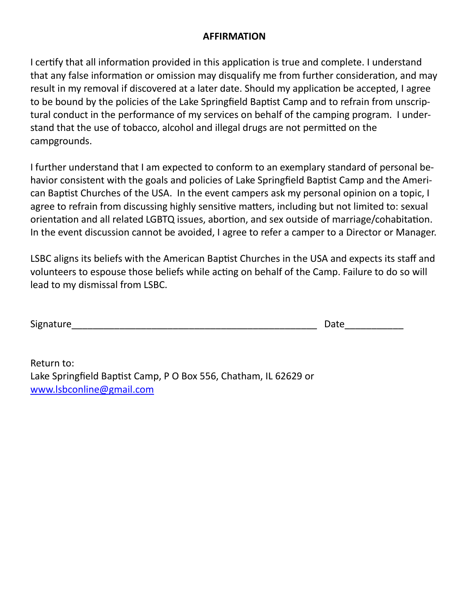### **AFFIRMATION**

I certify that all information provided in this application is true and complete. I understand that any false information or omission may disqualify me from further consideration, and may result in my removal if discovered at a later date. Should my application be accepted, I agree to be bound by the policies of the Lake Springfield Baptist Camp and to refrain from unscriptural conduct in the performance of my services on behalf of the camping program. I understand that the use of tobacco, alcohol and illegal drugs are not permitted on the campgrounds.

I further understand that I am expected to conform to an exemplary standard of personal behavior consistent with the goals and policies of Lake Springfield Baptist Camp and the American Baptist Churches of the USA. In the event campers ask my personal opinion on a topic, I agree to refrain from discussing highly sensitive matters, including but not limited to: sexual orientation and all related LGBTQ issues, abortion, and sex outside of marriage/cohabitation. In the event discussion cannot be avoided, I agree to refer a camper to a Director or Manager.

LSBC aligns its beliefs with the American Baptist Churches in the USA and expects its staff and volunteers to espouse those beliefs while acting on behalf of the Camp. Failure to do so will lead to my dismissal from LSBC.

| Signature | )ate |
|-----------|------|
|           | u cu |

Return to: Lake Springfield Baptist Camp, P O Box 556, Chatham, IL 62629 or [www.lsbconline@gmail.com](http://www.lsbconline@gmail.com)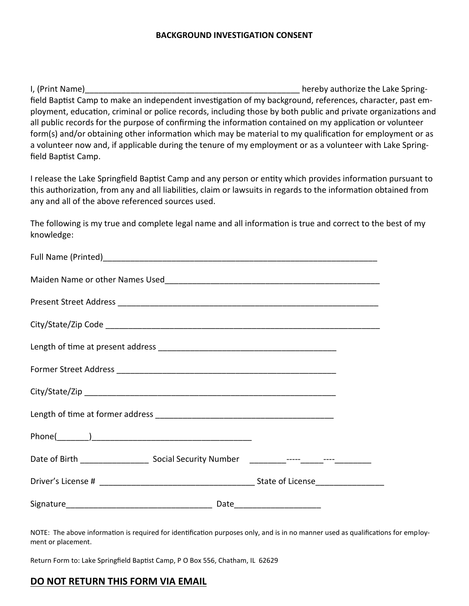#### **BACKGROUND INVESTIGATION CONSENT**

I, (Print Name) and the set of the set of the set of the lake Springfield Baptist Camp to make an independent investigation of my background, references, character, past employment, education, criminal or police records, including those by both public and private organizations and all public records for the purpose of confirming the information contained on my application or volunteer form(s) and/or obtaining other information which may be material to my qualification for employment or as a volunteer now and, if applicable during the tenure of my employment or as a volunteer with Lake Springfield Baptist Camp.

I release the Lake Springfield Baptist Camp and any person or entity which provides information pursuant to this authorization, from any and all liabilities, claim or lawsuits in regards to the information obtained from any and all of the above referenced sources used.

The following is my true and complete legal name and all information is true and correct to the best of my knowledge:

NOTE: The above information is required for identification purposes only, and is in no manner used as qualifications for employment or placement.

Return Form to: Lake Springfield Baptist Camp, P O Box 556, Chatham, IL 62629

#### **DO NOT RETURN THIS FORM VIA EMAIL**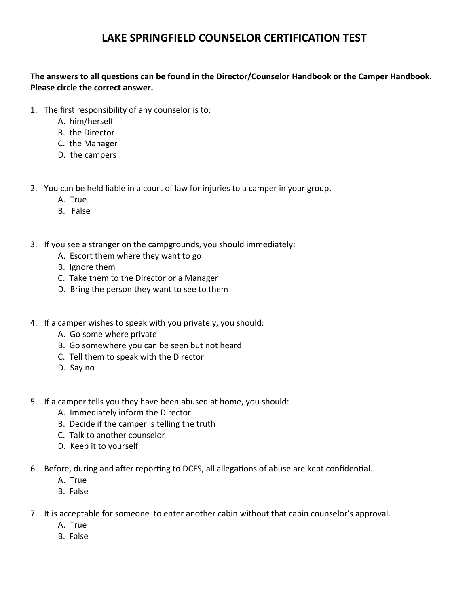## **LAKE SPRINGFIELD COUNSELOR CERTIFICATION TEST**

### **The answers to all questions can be found in the Director/Counselor Handbook or the Camper Handbook. Please circle the correct answer.**

- 1. The first responsibility of any counselor is to:
	- A. him/herself
	- B. the Director
	- C. the Manager
	- D. the campers

2. You can be held liable in a court of law for injuries to a camper in your group.

- A. True
- B. False
- 3. If you see a stranger on the campgrounds, you should immediately:
	- A. Escort them where they want to go
	- B. Ignore them
	- C. Take them to the Director or a Manager
	- D. Bring the person they want to see to them
- 4. If a camper wishes to speak with you privately, you should:
	- A. Go some where private
	- B. Go somewhere you can be seen but not heard
	- C. Tell them to speak with the Director
	- D. Say no
- 5. If a camper tells you they have been abused at home, you should:
	- A. Immediately inform the Director
	- B. Decide if the camper is telling the truth
	- C. Talk to another counselor
	- D. Keep it to yourself
- 6. Before, during and after reporting to DCFS, all allegations of abuse are kept confidential.
	- A. True
	- B. False
- 7. It is acceptable for someone to enter another cabin without that cabin counselor's approval.
	- A. True
	- B. False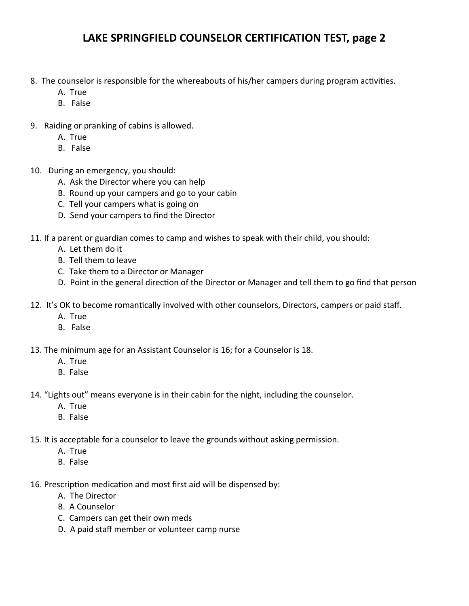## **LAKE SPRINGFIELD COUNSELOR CERTIFICATION TEST, page 2**

- 8. The counselor is responsible for the whereabouts of his/her campers during program activities.
	- A. True
	- B. False
- 9. Raiding or pranking of cabins is allowed.
	- A. True
	- B. False
- 10. During an emergency, you should:
	- A. Ask the Director where you can help
	- B. Round up your campers and go to your cabin
	- C. Tell your campers what is going on
	- D. Send your campers to find the Director
- 11. If a parent or guardian comes to camp and wishes to speak with their child, you should:
	- A. Let them do it
	- B. Tell them to leave
	- C. Take them to a Director or Manager
	- D. Point in the general direction of the Director or Manager and tell them to go find that person
- 12. It's OK to become romantically involved with other counselors, Directors, campers or paid staff.
	- A. True
	- B. False
- 13. The minimum age for an Assistant Counselor is 16; for a Counselor is 18.
	- A. True
	- B. False
- 14. "Lights out" means everyone is in their cabin for the night, including the counselor.
	- A. True
	- B. False
- 15. It is acceptable for a counselor to leave the grounds without asking permission.
	- A. True
	- B. False
- 16. Prescription medication and most first aid will be dispensed by:
	- A. The Director
	- B. A Counselor
	- C. Campers can get their own meds
	- D. A paid staff member or volunteer camp nurse